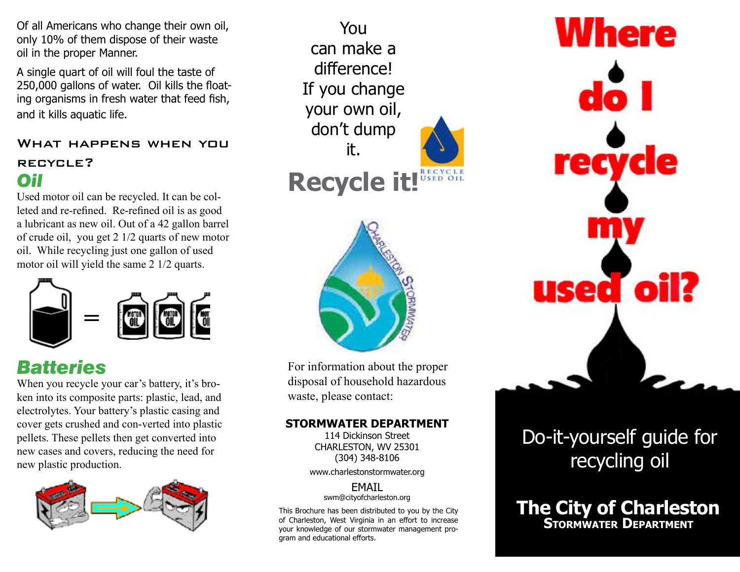Of all Americans who change their own oil, only 10% of them dispose of their waste oil in the proper Manner.

A single quart of oil will foul the taste of 250,000 gallons of water. Oil kills the floating organisms in fresh water that feed fish, and it kills aquatic life.

#### What happens when you recycle? *Oil*

Used motor oil can be recycled. It can be colleted and re-refined. Re-refined oil is as good a lubricant as new oil. Out of a 42 gallon barrel of crude oil, you get 2 1/2 quarts of new motor oil. While recycling just one gallon of used motor oil will yield the same 2 1/2 quarts.



### *Batteries*

When you recycle your car's battery, it's broken into its composite parts: plastic, lead, and electrolytes. Your battery's plastic casing and cover gets crushed and con-verted into plastic pellets. These pellets then get converted into new cases and covers, reducing the need for new plastic production.



You can make a difference! If you change your own oil, don't dump it.

**Recycle it!**



For information about the proper disposal of household hazardous waste, please contact:

#### **STORMWATER DEPARTMENT**

114 Dickinson Street CHARLESTON, WV 25301 (304) 348-8106

www.charlestonstormwater.org

EMAIL swm@cityofcharleston.org

This Brochure has been distributed to you by the City of Charleston, West Virginia in an effort to increase your knowledge of our stormwater management program and educational efforts.



### Do-it-yourself guide for recycling oil

**The City of Charleston**<br>STORMWATER DEPARTMENT